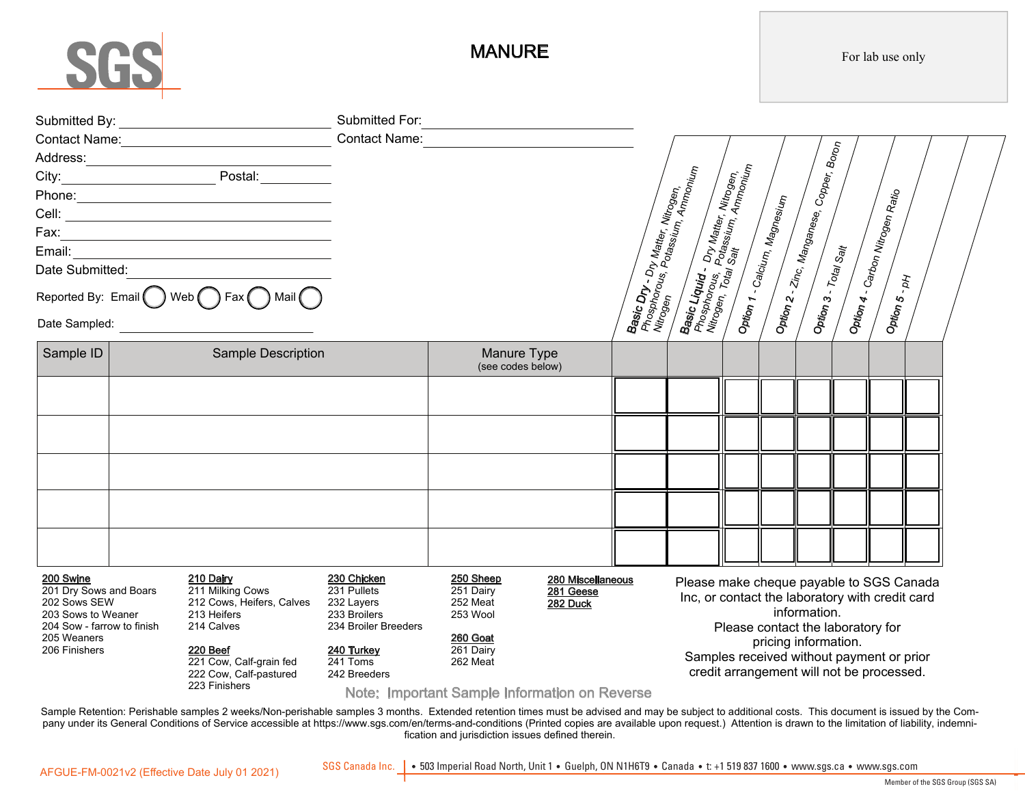

MANURE

For lab use only

| Contact Name: <u>Contact Name:</u> Contact Name: Contact Name: Contact Name: Contact Name: Contact Name: Contact Name                   |                    |                                                                                                                                                                           |                                                                                                                              |                                                                                     |                                                                                             |  |                                                                                                                                                                                                                                                                    |  |                               |                                                                           |  |                                                                |  |  |
|-----------------------------------------------------------------------------------------------------------------------------------------|--------------------|---------------------------------------------------------------------------------------------------------------------------------------------------------------------------|------------------------------------------------------------------------------------------------------------------------------|-------------------------------------------------------------------------------------|---------------------------------------------------------------------------------------------|--|--------------------------------------------------------------------------------------------------------------------------------------------------------------------------------------------------------------------------------------------------------------------|--|-------------------------------|---------------------------------------------------------------------------|--|----------------------------------------------------------------|--|--|
|                                                                                                                                         |                    |                                                                                                                                                                           |                                                                                                                              |                                                                                     |                                                                                             |  |                                                                                                                                                                                                                                                                    |  |                               |                                                                           |  |                                                                |  |  |
|                                                                                                                                         |                    |                                                                                                                                                                           |                                                                                                                              |                                                                                     |                                                                                             |  |                                                                                                                                                                                                                                                                    |  |                               |                                                                           |  |                                                                |  |  |
|                                                                                                                                         |                    |                                                                                                                                                                           |                                                                                                                              |                                                                                     |                                                                                             |  |                                                                                                                                                                                                                                                                    |  |                               |                                                                           |  |                                                                |  |  |
|                                                                                                                                         |                    |                                                                                                                                                                           |                                                                                                                              |                                                                                     |                                                                                             |  |                                                                                                                                                                                                                                                                    |  |                               |                                                                           |  |                                                                |  |  |
|                                                                                                                                         |                    |                                                                                                                                                                           |                                                                                                                              |                                                                                     |                                                                                             |  |                                                                                                                                                                                                                                                                    |  |                               |                                                                           |  |                                                                |  |  |
|                                                                                                                                         |                    |                                                                                                                                                                           |                                                                                                                              |                                                                                     |                                                                                             |  |                                                                                                                                                                                                                                                                    |  |                               |                                                                           |  |                                                                |  |  |
| Date Submitted: <u>____________________</u>                                                                                             |                    |                                                                                                                                                                           |                                                                                                                              |                                                                                     |                                                                                             |  |                                                                                                                                                                                                                                                                    |  |                               |                                                                           |  |                                                                |  |  |
| Reported By: Email $\bigcirc$ Web $\bigcirc$ Fax $\bigcirc$ Mail $\bigcirc$                                                             |                    |                                                                                                                                                                           |                                                                                                                              |                                                                                     |                                                                                             |  | <b>Basic Liquid - Dry Matter, Nitrogen, Andrew Prosphorus, Polassium, Ammonium</b><br><b>Basic Dry -</b> Dry Matter, Nitrogen,<br>Phosphorous, Polatter, Nitrogen,<br>Nitrogen<br>Nitrogen                                                                         |  | Potton 1 - Calcium, Magnesium | <b>Option 2</b> - Zinc, Manganese, Copper, Boron<br>Option 3 - Total Salt |  | $\vert$ Option 4 - Carbon Niirogen Ratio<br>Option $s$ - $p_H$ |  |  |
| Date Sampled:                                                                                                                           |                    |                                                                                                                                                                           |                                                                                                                              |                                                                                     |                                                                                             |  |                                                                                                                                                                                                                                                                    |  |                               |                                                                           |  |                                                                |  |  |
| Sample ID                                                                                                                               | Sample Description |                                                                                                                                                                           |                                                                                                                              | Manure Type<br>(see codes below)                                                    |                                                                                             |  |                                                                                                                                                                                                                                                                    |  |                               |                                                                           |  |                                                                |  |  |
|                                                                                                                                         |                    |                                                                                                                                                                           |                                                                                                                              |                                                                                     |                                                                                             |  |                                                                                                                                                                                                                                                                    |  |                               |                                                                           |  |                                                                |  |  |
|                                                                                                                                         |                    |                                                                                                                                                                           |                                                                                                                              |                                                                                     |                                                                                             |  |                                                                                                                                                                                                                                                                    |  |                               |                                                                           |  |                                                                |  |  |
|                                                                                                                                         |                    |                                                                                                                                                                           |                                                                                                                              |                                                                                     |                                                                                             |  |                                                                                                                                                                                                                                                                    |  |                               |                                                                           |  |                                                                |  |  |
|                                                                                                                                         |                    |                                                                                                                                                                           |                                                                                                                              |                                                                                     |                                                                                             |  |                                                                                                                                                                                                                                                                    |  |                               |                                                                           |  |                                                                |  |  |
|                                                                                                                                         |                    |                                                                                                                                                                           |                                                                                                                              |                                                                                     |                                                                                             |  |                                                                                                                                                                                                                                                                    |  |                               |                                                                           |  |                                                                |  |  |
|                                                                                                                                         |                    |                                                                                                                                                                           |                                                                                                                              |                                                                                     |                                                                                             |  |                                                                                                                                                                                                                                                                    |  |                               |                                                                           |  |                                                                |  |  |
|                                                                                                                                         |                    |                                                                                                                                                                           |                                                                                                                              |                                                                                     |                                                                                             |  |                                                                                                                                                                                                                                                                    |  |                               |                                                                           |  |                                                                |  |  |
| 200 Swine<br>201 Dry Sows and Boars<br>202 Sows SEW<br>203 Sows to Weaner<br>204 Sow - farrow to finish<br>205 Weaners<br>206 Finishers |                    | 210 Dairy<br>211 Milking Cows<br>212 Cows, Heifers, Calves<br>213 Heifers<br>214 Calves<br>220 Beef<br>221 Cow, Calf-grain fed<br>222 Cow, Calf-pastured<br>223 Finishers | 230 Chicken<br>231 Pullets<br>232 Layers<br>233 Broilers<br>234 Broiler Breeders<br>240 Turkey<br>$241$ Toms<br>242 Breeders | 250 Sheep<br>251 Dairy<br>252 Meat<br>253 Wool<br>260 Goat<br>261 Dairy<br>262 Meat | 280 Miscellaneous<br>281 Geese<br>282 Duck<br>Note: Important Sample Information on Reverse |  | Please make cheque payable to SGS Canada<br>Inc, or contact the laboratory with credit card<br>information.<br>Please contact the laboratory for<br>pricing information.<br>Samples received without payment or prior<br>credit arrangement will not be processed. |  |                               |                                                                           |  |                                                                |  |  |

Sample Retention: Perishable samples 2 weeks/Non-perishable samples 3 months. Extended retention times must be advised and may be subject to additional costs. This document is issued by the Company under its General Conditions of Service accessible at https://www.sgs.com/en/terms-and-conditions (Printed copies are available upon request.) Attention is drawn to the limitation of liability, indemnification and jurisdiction issues defined therein.